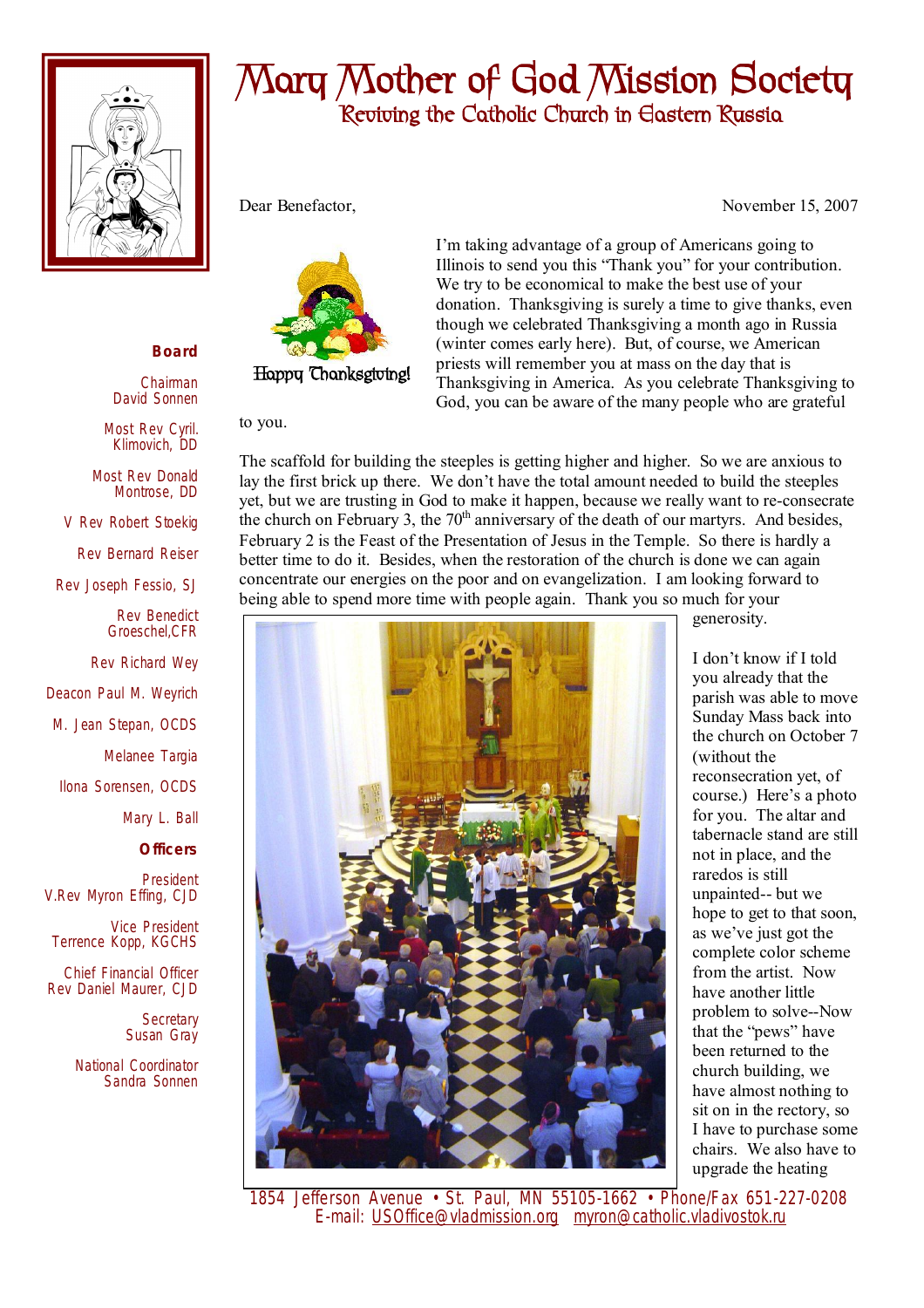

## **Mary Mother of God Mission Society Reviving the Catholic Church in Eastern Russia**

I'm taking advantage of a group of Americans going to Illinois to send you this "Thank you" for your contribution. We try to be economical to make the best use of your

donation. Thanksgiving is surely a time to give thanks, even though we celebrated Thanksgiving a month ago in Russia (winter comes early here). But, of course, we American priests will remember you at mass on the day that is

Thanksgiving in America. As you celebrate Thanksgiving to God, you can be aware of the many people who are grateful

Dear Benefactor, November 15, 2007



## to you.

The scaffold for building the steeples is getting higher and higher. So we are anxious to lay the first brick up there. We don't have the total amount needed to build the steeples yet, but we are trusting in God to make it happen, because we really want to re-consecrate the church on February 3, the  $70<sup>th</sup>$  anniversary of the death of our martyrs. And besides, February 2 is the Feast of the Presentation of Jesus in the Temple. So there is hardly a better time to do it. Besides, when the restoration of the church is done we can again concentrate our energies on the poor and on evangelization. I am looking forward to being able to spend more time with people again. Thank you so much for your



I don't know if I told you already that the parish was able to move Sunday Mass back into the church on October 7 (without the reconsecration yet, of course.) Here's a photo for you. The altar and tabernacle stand are still not in place, and the raredos is still unpainted-- but we hope to get to that soon, as we've just got the complete color scheme from the artist. Now have another little problem to solve--Now that the "pews" have been returned to the church building, we have almost nothing to sit on in the rectory, so I have to purchase some chairs. We also have to upgrade the heating

**Happy Thanksgiving!** 

generosity.

 1854 Jefferson Avenue • St. Paul, MN 55105-1662 • Phone/Fax 651-227-0208 E-mail: [USOffice@vladmission.org](mailto:USOffice@vladmission.org) [myron@catholic.vladivostok.ru](mailto:myron@catholic.vladivostok.ru)

## **Board**

Chairman David Sonnen

Most Rev Cyril. Klimovich, DD

Most Rev Donald Montrose, DD

V Rev Robert Stoekig

Rev Bernard Reiser

Rev Joseph Fessio, SJ

Rev Benedict Groeschel,CFR

Rev Richard Wey

Deacon Paul M. Weyrich

M. Jean Stepan, OCDS

Melanee Targia

Ilona Sorensen, OCDS

Mary L. Ball

**Officers**

President V.Rev Myron Effing, CJD

Vice President Terrence Kopp, KGCHS

Chief Financial Officer Rev Daniel Maurer, CJD

> **Secretary** Susan Gray

National Coordinator Sandra Sonnen